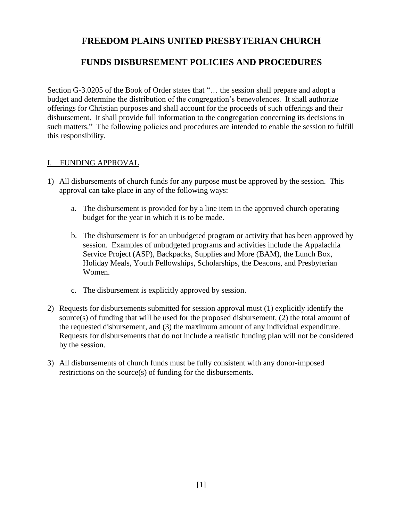#### **FUNDS DISBURSEMENT POLICIES AND PROCEDURES**

Section G-3.0205 of the Book of Order states that "… the session shall prepare and adopt a budget and determine the distribution of the congregation's benevolences. It shall authorize offerings for Christian purposes and shall account for the proceeds of such offerings and their disbursement. It shall provide full information to the congregation concerning its decisions in such matters." The following policies and procedures are intended to enable the session to fulfill this responsibility.

#### I. FUNDING APPROVAL

- 1) All disbursements of church funds for any purpose must be approved by the session. This approval can take place in any of the following ways:
	- a. The disbursement is provided for by a line item in the approved church operating budget for the year in which it is to be made.
	- b. The disbursement is for an unbudgeted program or activity that has been approved by session. Examples of unbudgeted programs and activities include the Appalachia Service Project (ASP), Backpacks, Supplies and More (BAM), the Lunch Box, Holiday Meals, Youth Fellowships, Scholarships, the Deacons, and Presbyterian Women.
	- c. The disbursement is explicitly approved by session.
- 2) Requests for disbursements submitted for session approval must (1) explicitly identify the source(s) of funding that will be used for the proposed disbursement,  $(2)$  the total amount of the requested disbursement, and (3) the maximum amount of any individual expenditure. Requests for disbursements that do not include a realistic funding plan will not be considered by the session.
- 3) All disbursements of church funds must be fully consistent with any donor-imposed restrictions on the source(s) of funding for the disbursements.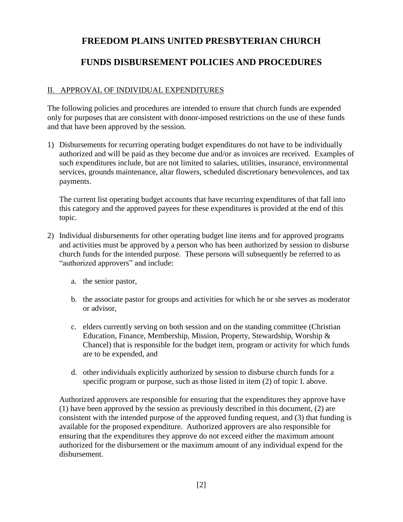## **FUNDS DISBURSEMENT POLICIES AND PROCEDURES**

#### II. APPROVAL OF INDIVIDUAL EXPENDITURES

The following policies and procedures are intended to ensure that church funds are expended only for purposes that are consistent with donor-imposed restrictions on the use of these funds and that have been approved by the session.

1) Disbursements for recurring operating budget expenditures do not have to be individually authorized and will be paid as they become due and/or as invoices are received. Examples of such expenditures include, but are not limited to salaries, utilities, insurance, environmental services, grounds maintenance, altar flowers, scheduled discretionary benevolences, and tax payments.

The current list operating budget accounts that have recurring expenditures of that fall into this category and the approved payees for these expenditures is provided at the end of this topic.

- 2) Individual disbursements for other operating budget line items and for approved programs and activities must be approved by a person who has been authorized by session to disburse church funds for the intended purpose. These persons will subsequently be referred to as "authorized approvers" and include:
	- a. the senior pastor,
	- b. the associate pastor for groups and activities for which he or she serves as moderator or advisor,
	- c. elders currently serving on both session and on the standing committee (Christian Education, Finance, Membership, Mission, Property, Stewardship, Worship & Chancel) that is responsible for the budget item, program or activity for which funds are to be expended, and
	- d. other individuals explicitly authorized by session to disburse church funds for a specific program or purpose, such as those listed in item (2) of topic I. above.

Authorized approvers are responsible for ensuring that the expenditures they approve have (1) have been approved by the session as previously described in this document, (2) are consistent with the intended purpose of the approved funding request, and (3) that funding is available for the proposed expenditure. Authorized approvers are also responsible for ensuring that the expenditures they approve do not exceed either the maximum amount authorized for the disbursement or the maximum amount of any individual expend for the disbursement.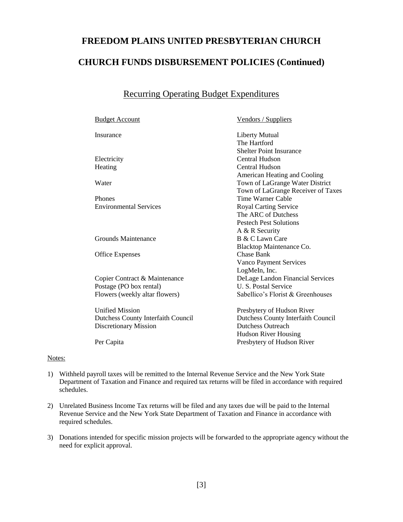## **FREEDOM PLAINS UNITED PRESBYTERIAN CHURCH CHURCH FUNDS DISBURSEMENT POLICIES (Continued)**

#### Recurring Operating Budget Expenditures

| <b>Budget Account</b>              | Vendors / Suppliers                |
|------------------------------------|------------------------------------|
| Insurance                          | <b>Liberty Mutual</b>              |
|                                    | The Hartford                       |
|                                    | <b>Shelter Point Insurance</b>     |
| Electricity                        | Central Hudson                     |
| Heating                            | Central Hudson                     |
|                                    | American Heating and Cooling       |
| Water                              | Town of LaGrange Water District    |
|                                    | Town of LaGrange Receiver of Taxes |
| Phones                             | Time Warner Cable                  |
| <b>Environmental Services</b>      | <b>Royal Carting Service</b>       |
|                                    | The ARC of Dutchess                |
|                                    | <b>Pestech Pest Solutions</b>      |
|                                    | A & R Security                     |
| Grounds Maintenance                | B & C Lawn Care                    |
|                                    | Blacktop Maintenance Co.           |
| Office Expenses                    | <b>Chase Bank</b>                  |
|                                    | Vanco Payment Services             |
|                                    | LogMeIn, Inc.                      |
| Copier Contract & Maintenance      | DeLage Landon Financial Services   |
| Postage (PO box rental)            | <b>U.S. Postal Service</b>         |
| Flowers (weekly altar flowers)     | Sabellico's Florist & Greenhouses  |
| <b>Unified Mission</b>             | Presbytery of Hudson River         |
| Dutchess County Interfaith Council | Dutchess County Interfaith Council |
| <b>Discretionary Mission</b>       | Dutchess Outreach                  |
|                                    | <b>Hudson River Housing</b>        |
| Per Capita                         | Presbytery of Hudson River         |
|                                    |                                    |

#### Notes:

- 1) Withheld payroll taxes will be remitted to the Internal Revenue Service and the New York State Department of Taxation and Finance and required tax returns will be filed in accordance with required schedules.
- 2) Unrelated Business Income Tax returns will be filed and any taxes due will be paid to the Internal Revenue Service and the New York State Department of Taxation and Finance in accordance with required schedules.
- 3) Donations intended for specific mission projects will be forwarded to the appropriate agency without the need for explicit approval.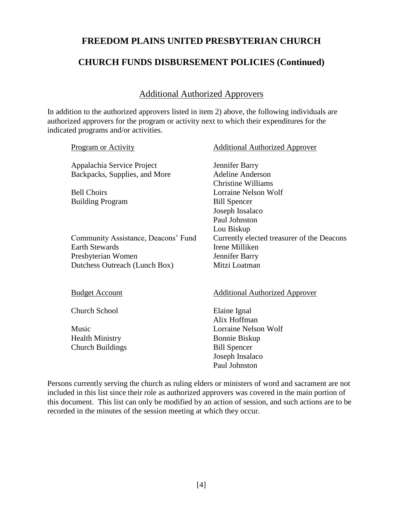#### **CHURCH FUNDS DISBURSEMENT POLICIES (Continued)**

#### Additional Authorized Approvers

In addition to the authorized approvers listed in item 2) above, the following individuals are authorized approvers for the program or activity next to which their expenditures for the indicated programs and/or activities.

| <b>Program or Activity</b>          | <b>Additional Authorized Approver</b>      |
|-------------------------------------|--------------------------------------------|
| Appalachia Service Project          | Jennifer Barry                             |
| Backpacks, Supplies, and More       | <b>Adeline Anderson</b>                    |
|                                     | Christine Williams                         |
| <b>Bell Choirs</b>                  | Lorraine Nelson Wolf                       |
| <b>Building Program</b>             | <b>Bill Spencer</b>                        |
|                                     | Joseph Insalaco                            |
|                                     | Paul Johnston                              |
|                                     | Lou Biskup                                 |
| Community Assistance, Deacons' Fund | Currently elected treasurer of the Deacons |
| <b>Earth Stewards</b>               | Irene Milliken                             |
| Presbyterian Women                  | Jennifer Barry                             |
| Dutchess Outreach (Lunch Box)       | Mitzi Loatman                              |
|                                     |                                            |
|                                     |                                            |
| <b>Budget Account</b>               | <b>Additional Authorized Approver</b>      |
|                                     |                                            |
| Church School                       | Elaine Ignal                               |
|                                     | Alix Hoffman                               |
| Music                               | Lorraine Nelson Wolf                       |
| <b>Health Ministry</b>              | Bonnie Biskup                              |
| <b>Church Buildings</b>             | <b>Bill Spencer</b>                        |
|                                     | Joseph Insalaco                            |
|                                     | Paul Johnston                              |
|                                     |                                            |

Persons currently serving the church as ruling elders or ministers of word and sacrament are not included in this list since their role as authorized approvers was covered in the main portion of this document. This list can only be modified by an action of session, and such actions are to be recorded in the minutes of the session meeting at which they occur.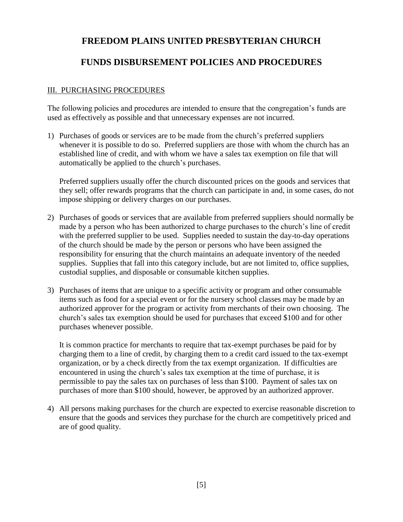### **FUNDS DISBURSEMENT POLICIES AND PROCEDURES**

#### III. PURCHASING PROCEDURES

The following policies and procedures are intended to ensure that the congregation's funds are used as effectively as possible and that unnecessary expenses are not incurred.

1) Purchases of goods or services are to be made from the church's preferred suppliers whenever it is possible to do so. Preferred suppliers are those with whom the church has an established line of credit, and with whom we have a sales tax exemption on file that will automatically be applied to the church's purchases.

Preferred suppliers usually offer the church discounted prices on the goods and services that they sell; offer rewards programs that the church can participate in and, in some cases, do not impose shipping or delivery charges on our purchases.

- 2) Purchases of goods or services that are available from preferred suppliers should normally be made by a person who has been authorized to charge purchases to the church's line of credit with the preferred supplier to be used. Supplies needed to sustain the day-to-day operations of the church should be made by the person or persons who have been assigned the responsibility for ensuring that the church maintains an adequate inventory of the needed supplies. Supplies that fall into this category include, but are not limited to, office supplies, custodial supplies, and disposable or consumable kitchen supplies.
- 3) Purchases of items that are unique to a specific activity or program and other consumable items such as food for a special event or for the nursery school classes may be made by an authorized approver for the program or activity from merchants of their own choosing. The church's sales tax exemption should be used for purchases that exceed \$100 and for other purchases whenever possible.

It is common practice for merchants to require that tax-exempt purchases be paid for by charging them to a line of credit, by charging them to a credit card issued to the tax-exempt organization, or by a check directly from the tax exempt organization. If difficulties are encountered in using the church's sales tax exemption at the time of purchase, it is permissible to pay the sales tax on purchases of less than \$100. Payment of sales tax on purchases of more than \$100 should, however, be approved by an authorized approver.

4) All persons making purchases for the church are expected to exercise reasonable discretion to ensure that the goods and services they purchase for the church are competitively priced and are of good quality.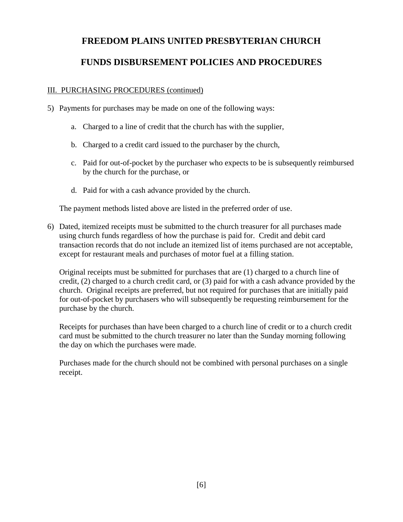#### **FUNDS DISBURSEMENT POLICIES AND PROCEDURES**

#### III. PURCHASING PROCEDURES (continued)

- 5) Payments for purchases may be made on one of the following ways:
	- a. Charged to a line of credit that the church has with the supplier,
	- b. Charged to a credit card issued to the purchaser by the church,
	- c. Paid for out-of-pocket by the purchaser who expects to be is subsequently reimbursed by the church for the purchase, or
	- d. Paid for with a cash advance provided by the church.

The payment methods listed above are listed in the preferred order of use.

6) Dated, itemized receipts must be submitted to the church treasurer for all purchases made using church funds regardless of how the purchase is paid for. Credit and debit card transaction records that do not include an itemized list of items purchased are not acceptable, except for restaurant meals and purchases of motor fuel at a filling station.

Original receipts must be submitted for purchases that are (1) charged to a church line of credit, (2) charged to a church credit card, or (3) paid for with a cash advance provided by the church. Original receipts are preferred, but not required for purchases that are initially paid for out-of-pocket by purchasers who will subsequently be requesting reimbursement for the purchase by the church.

Receipts for purchases than have been charged to a church line of credit or to a church credit card must be submitted to the church treasurer no later than the Sunday morning following the day on which the purchases were made.

Purchases made for the church should not be combined with personal purchases on a single receipt.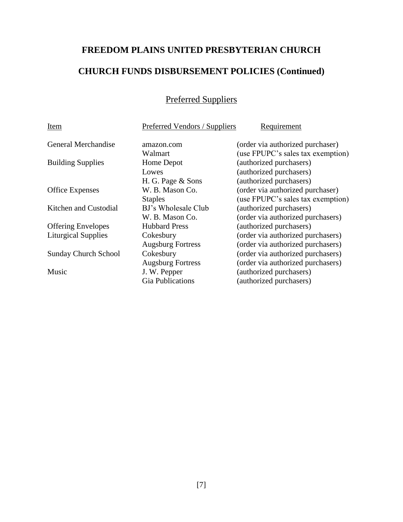## **CHURCH FUNDS DISBURSEMENT POLICIES (Continued)**

## Preferred Suppliers

| Item                        | Preferred Vendors / Suppliers | Requirement                       |
|-----------------------------|-------------------------------|-----------------------------------|
| General Merchandise         | amazon.com                    | (order via authorized purchaser)  |
|                             | Walmart                       | (use FPUPC's sales tax exemption) |
| <b>Building Supplies</b>    | Home Depot                    | (authorized purchasers)           |
|                             | Lowes                         | (authorized purchasers)           |
|                             | H. G. Page & Sons             | (authorized purchasers)           |
| <b>Office Expenses</b>      | W. B. Mason Co.               | (order via authorized purchaser)  |
|                             | <b>Staples</b>                | (use FPUPC's sales tax exemption) |
| Kitchen and Custodial       | BJ's Wholesale Club           | (authorized purchasers)           |
|                             | W. B. Mason Co.               | (order via authorized purchasers) |
| <b>Offering Envelopes</b>   | <b>Hubbard Press</b>          | (authorized purchasers)           |
| <b>Liturgical Supplies</b>  | Cokesbury                     | (order via authorized purchasers) |
|                             | <b>Augsburg Fortress</b>      | (order via authorized purchasers) |
| <b>Sunday Church School</b> | Cokesbury                     | (order via authorized purchasers) |
|                             | <b>Augsburg Fortress</b>      | (order via authorized purchasers) |
| Music                       | J. W. Pepper                  | (authorized purchasers)           |
|                             | <b>Gia Publications</b>       | (authorized purchasers)           |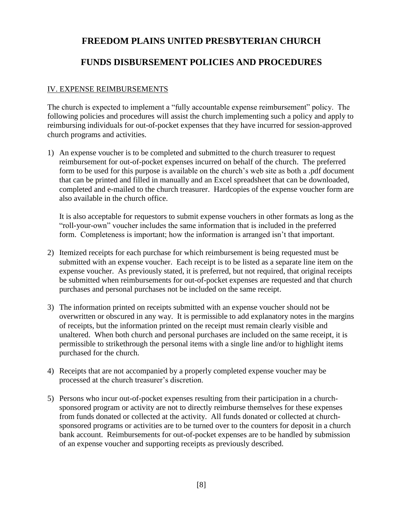#### **FUNDS DISBURSEMENT POLICIES AND PROCEDURES**

#### IV. EXPENSE REIMBURSEMENTS

The church is expected to implement a "fully accountable expense reimbursement" policy. The following policies and procedures will assist the church implementing such a policy and apply to reimbursing individuals for out-of-pocket expenses that they have incurred for session-approved church programs and activities.

1) An expense voucher is to be completed and submitted to the church treasurer to request reimbursement for out-of-pocket expenses incurred on behalf of the church. The preferred form to be used for this purpose is available on the church's web site as both a .pdf document that can be printed and filled in manually and an Excel spreadsheet that can be downloaded, completed and e-mailed to the church treasurer. Hardcopies of the expense voucher form are also available in the church office.

It is also acceptable for requestors to submit expense vouchers in other formats as long as the "roll-your-own" voucher includes the same information that is included in the preferred form. Completeness is important; how the information is arranged isn't that important.

- 2) Itemized receipts for each purchase for which reimbursement is being requested must be submitted with an expense voucher. Each receipt is to be listed as a separate line item on the expense voucher. As previously stated, it is preferred, but not required, that original receipts be submitted when reimbursements for out-of-pocket expenses are requested and that church purchases and personal purchases not be included on the same receipt.
- 3) The information printed on receipts submitted with an expense voucher should not be overwritten or obscured in any way. It is permissible to add explanatory notes in the margins of receipts, but the information printed on the receipt must remain clearly visible and unaltered. When both church and personal purchases are included on the same receipt, it is permissible to strikethrough the personal items with a single line and/or to highlight items purchased for the church.
- 4) Receipts that are not accompanied by a properly completed expense voucher may be processed at the church treasurer's discretion.
- 5) Persons who incur out-of-pocket expenses resulting from their participation in a churchsponsored program or activity are not to directly reimburse themselves for these expenses from funds donated or collected at the activity. All funds donated or collected at churchsponsored programs or activities are to be turned over to the counters for deposit in a church bank account. Reimbursements for out-of-pocket expenses are to be handled by submission of an expense voucher and supporting receipts as previously described.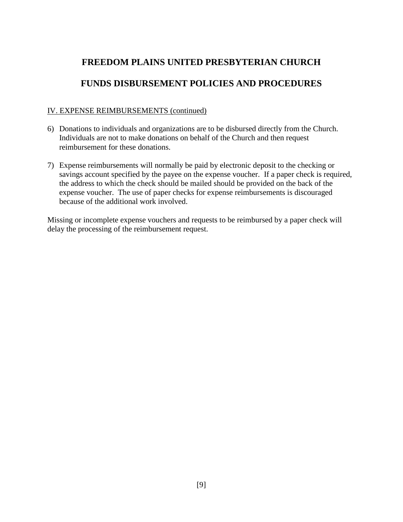## **FUNDS DISBURSEMENT POLICIES AND PROCEDURES**

#### IV. EXPENSE REIMBURSEMENTS (continued)

- 6) Donations to individuals and organizations are to be disbursed directly from the Church. Individuals are not to make donations on behalf of the Church and then request reimbursement for these donations.
- 7) Expense reimbursements will normally be paid by electronic deposit to the checking or savings account specified by the payee on the expense voucher. If a paper check is required, the address to which the check should be mailed should be provided on the back of the expense voucher. The use of paper checks for expense reimbursements is discouraged because of the additional work involved.

Missing or incomplete expense vouchers and requests to be reimbursed by a paper check will delay the processing of the reimbursement request.